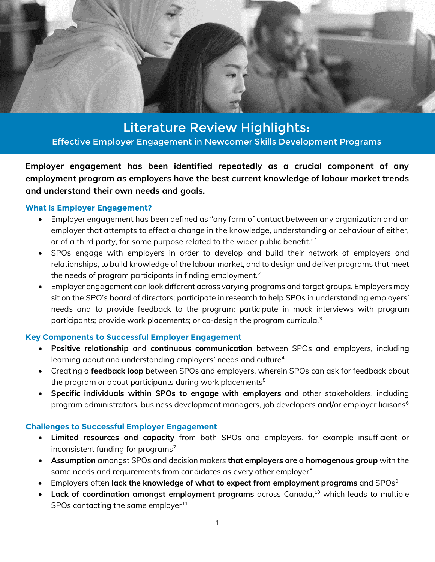

Effective Employer Engagement in Newcomer Skills Development Programs Effective Employer Engagement in Newcomer Skills Development ProgramsLiterature Review Highlights:

**Employer engagement has been identified repeatedly as a crucial component of any employment program as employers have the best current knowledge of labour market trends and understand their own needs and goals.**

## **What is Employer Engagement?**

- Employer engagement has been defined as "any form of contact between any organization and an employer that attempts to effect a change in the knowledge, understanding or behaviour of either, or of a third party, for some purpose related to the wider public benefit."[1](#page-1-0)
- SPOs engage with employers in order to develop and build their network of employers and relationships, to build knowledge of the labour market, and to design and deliver programs that meet the needs of program participants in finding employment.<sup>[2](#page-1-1)</sup>
- Employer engagement can look different across varying programs and target groups. Employers may sit on the SPO's board of directors; participate in research to help SPOs in understanding employers' needs and to provide feedback to the program; participate in mock interviews with program participants; provide work placements; or co-design the program curricula. $^{\rm 3}$  $^{\rm 3}$  $^{\rm 3}$

# **Key Components to Successful Employer Engagement**

- **Positive relationship** and **continuous communication** between SPOs and employers, including learning about and understanding employers' needs and culture<sup>[4](#page-1-3)</sup>
- Creating a **feedback loop** between SPOs and employers, wherein SPOs can ask for feedback about the program or about participants during work placements $5$
- **Specific individuals within SPOs to engage with employers** and other stakeholders, including program administrators, business development managers, job developers and/or employer liaisons<sup>[6](#page-1-5)</sup>

# **Challenges to Successful Employer Engagement**

- **Limited resources and capacity** from both SPOs and employers, for example insufficient or inconsistent funding for programs<sup>[7](#page-1-6)</sup>
- **Assumption** amongst SPOs and decision makers **that employers are a homogenous group** with the same needs and requirements from candidates as every other employer<sup>[8](#page-1-7)</sup>
- Employers often **lack the knowledge of what to expect from employment programs** and SPOs<sup>[9](#page-1-8)</sup>
- **Lack of coordination amongst employment programs** across Canada, [10](#page-1-9) which leads to multiple SPOs contacting the same employer $11$